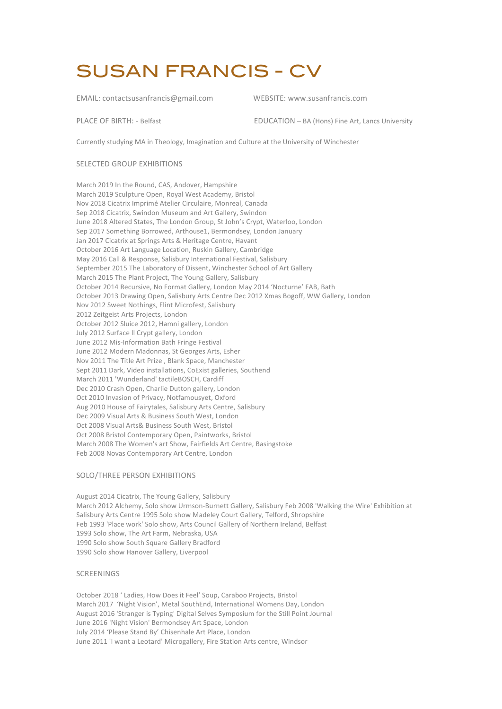# SUSAN FRANCIS - CV

EMAIL: contactsusanfrancis@gmail.com WEBSITE: www.susanfrancis.com

PLACE OF BIRTH: - Belfast EDUCATION – BA (Hons) Fine Art, Lancs University 

Currently studying MA in Theology, Imagination and Culture at the University of Winchester

# SELECTED GROUP EXHIBITIONS

March 2019 In the Round, CAS, Andover, Hampshire March 2019 Sculpture Open, Royal West Academy, Bristol Nov 2018 Cicatrix Imprimé Atelier Circulaire, Monreal, Canada Sep 2018 Cicatrix, Swindon Museum and Art Gallery, Swindon June 2018 Altered States, The London Group, St John's Crypt, Waterloo, London Sep 2017 Something Borrowed, Arthouse1, Bermondsey, London January Jan 2017 Cicatrix at Springs Arts & Heritage Centre, Havant October 2016 Art Language Location, Ruskin Gallery, Cambridge May 2016 Call & Response, Salisbury International Festival, Salisbury September 2015 The Laboratory of Dissent, Winchester School of Art Gallery March 2015 The Plant Project, The Young Gallery, Salisbury October 2014 Recursive, No Format Gallery, London May 2014 'Nocturne' FAB, Bath October 2013 Drawing Open, Salisbury Arts Centre Dec 2012 Xmas Bogoff, WW Gallery, London Nov 2012 Sweet Nothings, Flint Microfest, Salisbury 2012 Zeitgeist Arts Projects, London October 2012 Sluice 2012, Hamni gallery, London July 2012 Surface II Crypt gallery, London June 2012 Mis-Information Bath Fringe Festival June 2012 Modern Madonnas, St Georges Arts, Esher Nov 2011 The Title Art Prize, Blank Space, Manchester Sept 2011 Dark, Video installations, CoExist galleries, Southend March 2011 'Wunderland' tactileBOSCH, Cardiff Dec 2010 Crash Open, Charlie Dutton gallery, London Oct 2010 Invasion of Privacy, Notfamousyet, Oxford Aug 2010 House of Fairytales, Salisbury Arts Centre, Salisbury Dec 2009 Visual Arts & Business South West, London Oct 2008 Visual Arts& Business South West, Bristol Oct 2008 Bristol Contemporary Open, Paintworks, Bristol March 2008 The Women's art Show, Fairfields Art Centre, Basingstoke Feb 2008 Novas Contemporary Art Centre, London

# SOLO/THREE PERSON EXHIBITIONS

August 2014 Cicatrix, The Young Gallery, Salisbury March 2012 Alchemy, Solo show Urmson-Burnett Gallery, Salisbury Feb 2008 'Walking the Wire' Exhibition at Salisbury Arts Centre 1995 Solo show Madeley Court Gallery, Telford, Shropshire Feb 1993 'Place work' Solo show, Arts Council Gallery of Northern Ireland, Belfast 1993 Solo show, The Art Farm, Nebraska, USA 1990 Solo show South Square Gallery Bradford 1990 Solo show Hanover Gallery, Liverpool

### SCREENINGS

October 2018 ' Ladies, How Does it Feel' Soup, Caraboo Projects, Bristol March 2017 'Night Vision', Metal SouthEnd, International Womens Day, London August 2016 'Stranger is Typing' Digital Selves Symposium for the Still Point Journal June 2016 'Night Vision' Bermondsey Art Space, London July 2014 'Please Stand By' Chisenhale Art Place, London June 2011 'I want a Leotard' Microgallery, Fire Station Arts centre, Windsor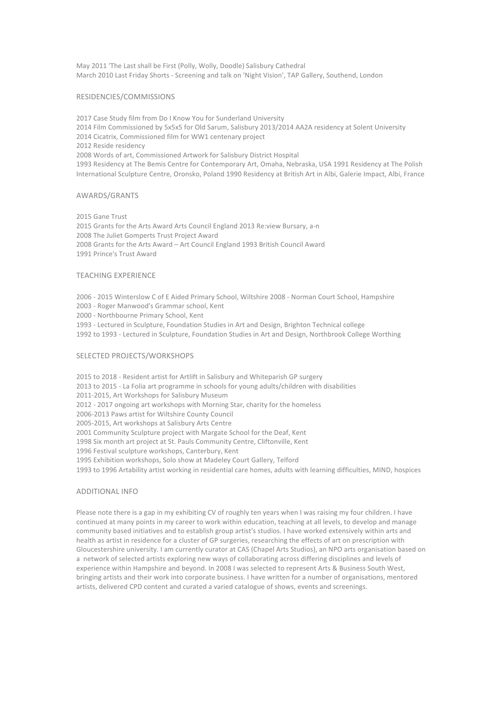May 2011 'The Last shall be First (Polly, Wolly, Doodle) Salisbury Cathedral March 2010 Last Friday Shorts - Screening and talk on 'Night Vision', TAP Gallery, Southend, London

#### RESIDENCIES/COMMISSIONS

2017 Case Study film from Do I Know You for Sunderland University 2014 Film Commissioned by 5x5x5 for Old Sarum, Salisbury 2013/2014 AA2A residency at Solent University 2014 Cicatrix, Commissioned film for WW1 centenary project 2012 Reside residency 2008 Words of art, Commissioned Artwork for Salisbury District Hospital 1993 Residency at The Bemis Centre for Contemporary Art, Omaha, Nebraska, USA 1991 Residency at The Polish International Sculpture Centre, Oronsko, Poland 1990 Residency at British Art in Albi, Galerie Impact, Albi, France

#### AWARDS/GRANTS

2015 Gane Trust 2015 Grants for the Arts Award Arts Council England 2013 Re:view Bursary, a-n 2008 The Juliet Gomperts Trust Project Award 2008 Grants for the Arts Award - Art Council England 1993 British Council Award 1991 Prince's Trust Award

## **TEACHING EXPERIENCE**

2006 - 2015 Winterslow C of E Aided Primary School, Wiltshire 2008 - Norman Court School, Hampshire

2003 - Roger Manwood's Grammar school, Kent

2000 - Northbourne Primary School, Kent

1993 - Lectured in Sculpture, Foundation Studies in Art and Design, Brighton Technical college

1992 to 1993 - Lectured in Sculpture, Foundation Studies in Art and Design, Northbrook College Worthing

#### SELECTED PROJECTS/WORKSHOPS

2015 to 2018 - Resident artist for Artlift in Salisbury and Whiteparish GP surgery 2013 to 2015 - La Folia art programme in schools for young adults/children with disabilities 2011-2015, Art Workshops for Salisbury Museum 2012 - 2017 ongoing art workshops with Morning Star, charity for the homeless 2006-2013 Paws artist for Wiltshire County Council 2005-2015, Art workshops at Salisbury Arts Centre 2001 Community Sculpture project with Margate School for the Deaf, Kent 1998 Six month art project at St. Pauls Community Centre, Cliftonville, Kent 1996 Festival sculpture workshops, Canterbury, Kent 1995 Exhibition workshops, Solo show at Madeley Court Gallery, Telford 1993 to 1996 Artability artist working in residential care homes, adults with learning difficulties, MIND, hospices

# **ADDITIONAL INFO**

Please note there is a gap in my exhibiting CV of roughly ten years when I was raising my four children. I have continued at many points in my career to work within education, teaching at all levels, to develop and manage community based initiatives and to establish group artist's studios. I have worked extensively within arts and health as artist in residence for a cluster of GP surgeries, researching the effects of art on prescription with Gloucestershire university. I am currently curator at CAS (Chapel Arts Studios), an NPO arts organisation based on a network of selected artists exploring new ways of collaborating across differing disciplines and levels of experience within Hampshire and beyond. In 2008 I was selected to represent Arts & Business South West, bringing artists and their work into corporate business. I have written for a number of organisations, mentored artists, delivered CPD content and curated a varied catalogue of shows, events and screenings.